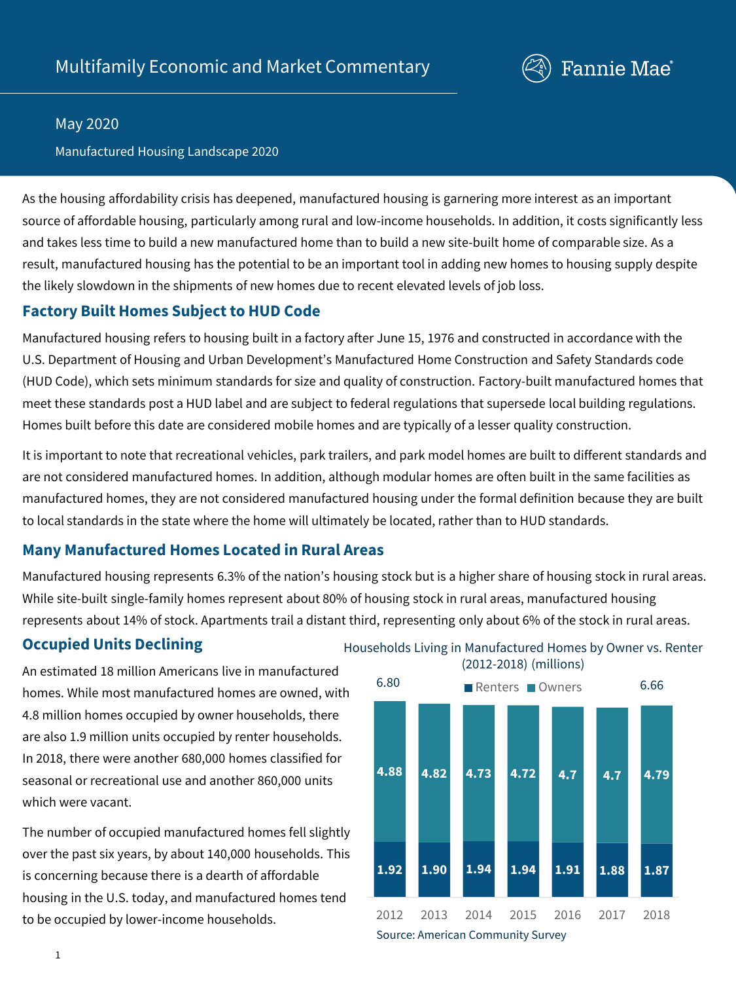

#### May 2020

Manufactured Housing Landscape 2020

As the housing affordability crisis has deepened, manufactured housing is garnering more interest as an important source of affordable housing, particularly among rural and low-income households. In addition, it costs significantly less and takes less time to build a new manufactured home than to build a new site-built home of comparable size. As a result, manufactured housing has the potential to be an important tool in adding new homes to housing supply despite the likely slowdown in the shipments of new homes due to recent elevated levels of job loss.

### **Factory Built Homes Subject to HUD Code**

Manufactured housing refers to housing built in a factory after June 15, 1976 and constructed in accordance with the U.S. Department of Housing and Urban Development's Manufactured Home Construction and Safety Standards code (HUD Code), which sets minimum standards for size and quality of construction. Factory-built manufactured homes that meet these standards post a HUD label and are subject to federal regulations that supersede local building regulations. Homes built before this date are considered mobile homes and are typically of a lesser quality construction.

It is important to note that recreational vehicles, park trailers, and park model homes are built to different standards and are not considered manufactured homes. In addition, although modular homes are often built in the same facilities as manufactured homes, they are not considered manufactured housing under the formal definition because they are built to local standards in the state where the home will ultimately be located, rather than to HUD standards.

# **Many Manufactured Homes Located in Rural Areas**

Manufactured housing represents 6.3% of the nation's housing stock but is a higher share of housing stock in rural areas. While site-built single-family homes represent about 80% of housing stock in rural areas, manufactured housing represents about 14% of stock. Apartments trail a distant third, representing only about 6% of the stock in rural areas.

# **Occupied Units Declining**

An estimated 18 million Americans live in manufactured homes. While most manufactured homes are owned, with 4.8 million homes occupied by owner households, there are also 1.9 million units occupied by renter households. In 2018, there were another 680,000 homes classified for seasonal or recreational use and another 860,000 units which were vacant.

The number of occupied manufactured homes fell slightly over the past six years, by about 140,000 households. This is concerning because there is a dearth of affordable housing in the U.S. today, and manufactured homes tend to be occupied by lower-income households.

Households Living in Manufactured Homes by Owner vs. Renter (2012-2018) (millions)



1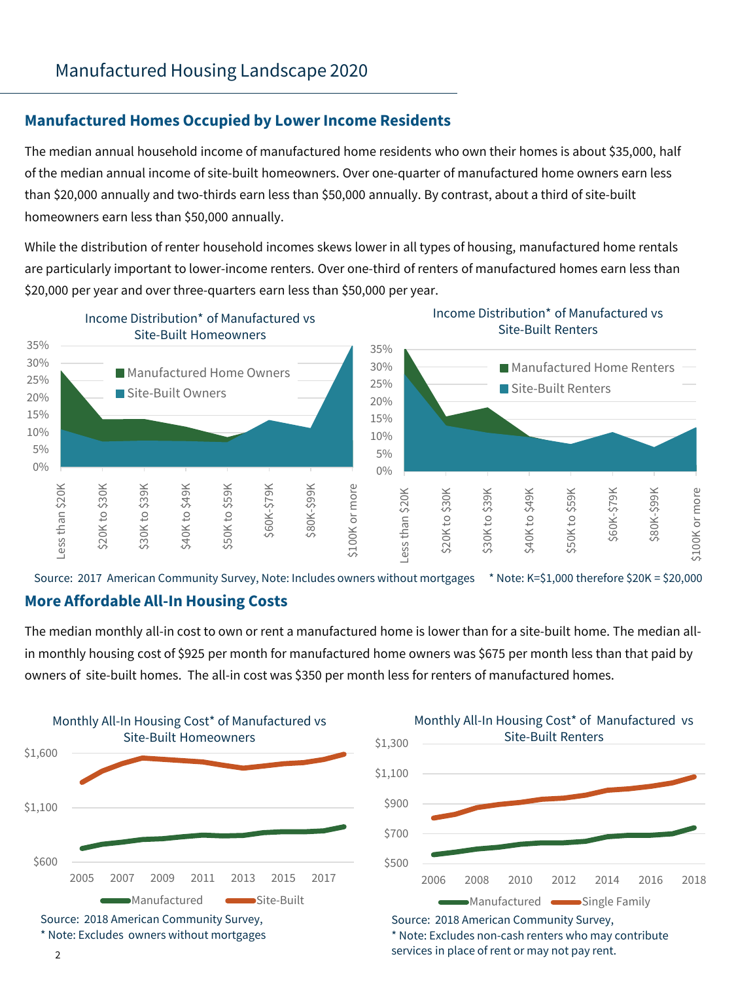# **Manufactured Homes Occupied by LowerIncome Residents**

The median annual household income of manufactured home residents who own their homes is about \$35,000, half of the median annual income of site-built homeowners. Over one-quarter of manufactured home owners earn less than \$20,000 annually and two-thirds earn less than \$50,000 annually. By contrast, about a third of site-built homeowners earn less than \$50,000 annually.

While the distribution of renter household incomes skews lower in all types of housing, manufactured home rentals are particularly important to lower-income renters. Over one-third of renters of manufactured homes earn less than \$20,000 per year and over three-quarters earn less than \$50,000 per year.



Source: 2017 American Community Survey, Note: Includes owners without mortgages \* Note: K=\$1,000 therefore \$20K = \$20,000

### **More Affordable All-In Housing Costs**

The median monthly all-in cost to own or rent a manufactured home is lower than for a site-built home. The median allin monthly housing cost of \$925 per month for manufactured home owners was \$675 per month less than that paid by owners of site-built homes. The all-in cost was \$350 per month less for renters of manufactured homes.





\* Note: Excludes non-cash renters who may contribute services in place of rent or may not pay rent.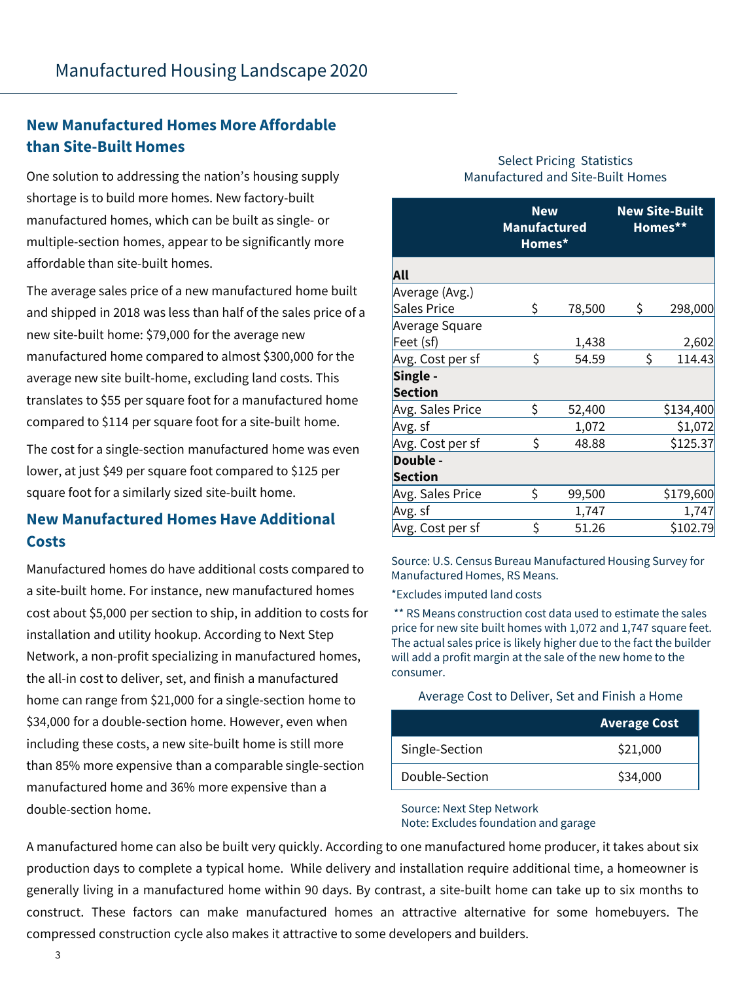# **New Manufactured Homes More Affordable than Site-Built Homes**

One solution to addressing the nation's housing supply shortage is to build more homes. New factory-built manufactured homes, which can be built as single- or multiple-section homes, appear to be significantly more affordable than site-built homes.

The average sales price of a new manufactured home built and shipped in 2018 was less than half of the sales price of a new site-built home: \$79,000 for the average new manufactured home compared to almost \$300,000 for the average new site built-home, excluding land costs. This translates to \$55 per square foot for a manufactured home compared to \$114 per square foot for a site-built home.

The cost for a single-section manufactured home was even lower, at just \$49 per square foot compared to \$125 per square foot for a similarly sized site-built home.

# **New Manufactured Homes Have Additional Costs**

Manufactured homes do have additional costs compared to a site-built home. For instance, new manufactured homes cost about \$5,000 per section to ship, in addition to costs for installation and utility hookup. According to Next Step Network, a non-profit specializing in manufactured homes, the all-in cost to deliver, set, and finish a manufactured home can range from \$21,000 for a single-section home to \$34,000 for a double-section home. However, even when including these costs, a new site-built home is still more than 85% more expensive than a comparable single-section manufactured home and 36% more expensive than a double-section home.

#### Select Pricing Statistics Manufactured and Site-Built Homes

|                    | <b>New</b><br><b>Manufactured</b><br>Homes* |        | <b>New Site-Built</b><br>Homes** |           |  |
|--------------------|---------------------------------------------|--------|----------------------------------|-----------|--|
| All                |                                             |        |                                  |           |  |
| Average (Avg.)     |                                             |        |                                  |           |  |
| <b>Sales Price</b> | \$                                          | 78,500 | \$                               | 298,000   |  |
| Average Square     |                                             |        |                                  |           |  |
| Feet (sf)          |                                             | 1,438  |                                  | 2,602     |  |
| Avg. Cost per sf   | Ś                                           | 54.59  | \$                               | 114.43    |  |
| Single -           |                                             |        |                                  |           |  |
| <b>Section</b>     |                                             |        |                                  |           |  |
| Avg. Sales Price   | Ś.                                          | 52,400 |                                  | \$134,400 |  |
| Avg. sf            |                                             | 1,072  |                                  | \$1,072   |  |
| Avg. Cost per sf   | Ś                                           | 48.88  |                                  | \$125.37  |  |
| Double -           |                                             |        |                                  |           |  |
| <b>Section</b>     |                                             |        |                                  |           |  |
| Avg. Sales Price   | \$                                          | 99,500 |                                  | \$179,600 |  |
| Avg. sf            |                                             | 1,747  |                                  | 1,747     |  |
| Avg. Cost per sf   | \$                                          | 51.26  |                                  | \$102.79  |  |

Source: U.S. Census Bureau Manufactured Housing Survey for Manufactured Homes, RS Means.

\*Excludes imputed land costs

\*\* RS Means construction cost data used to estimate the sales price for new site built homes with 1,072 and 1,747 square feet. The actual sales price is likely higher due to the fact the builder will add a profit margin at the sale of the new home to the consumer.

#### Average Cost to Deliver, Set and Finish a Home

|                | <b>Average Cost</b> |
|----------------|---------------------|
| Single-Section | \$21,000            |
| Double-Section | \$34,000            |

#### Source: Next Step Network Note: Excludes foundation and garage

A manufactured home can also be built very quickly. According to one manufactured home producer, it takes about six production days to complete a typical home. While delivery and installation require additional time, a homeowner is generally living in a manufactured home within 90 days. By contrast, a site-built home can take up to six months to construct. These factors can make manufactured homes an attractive alternative for some homebuyers. The compressed construction cycle also makes it attractive to some developers and builders.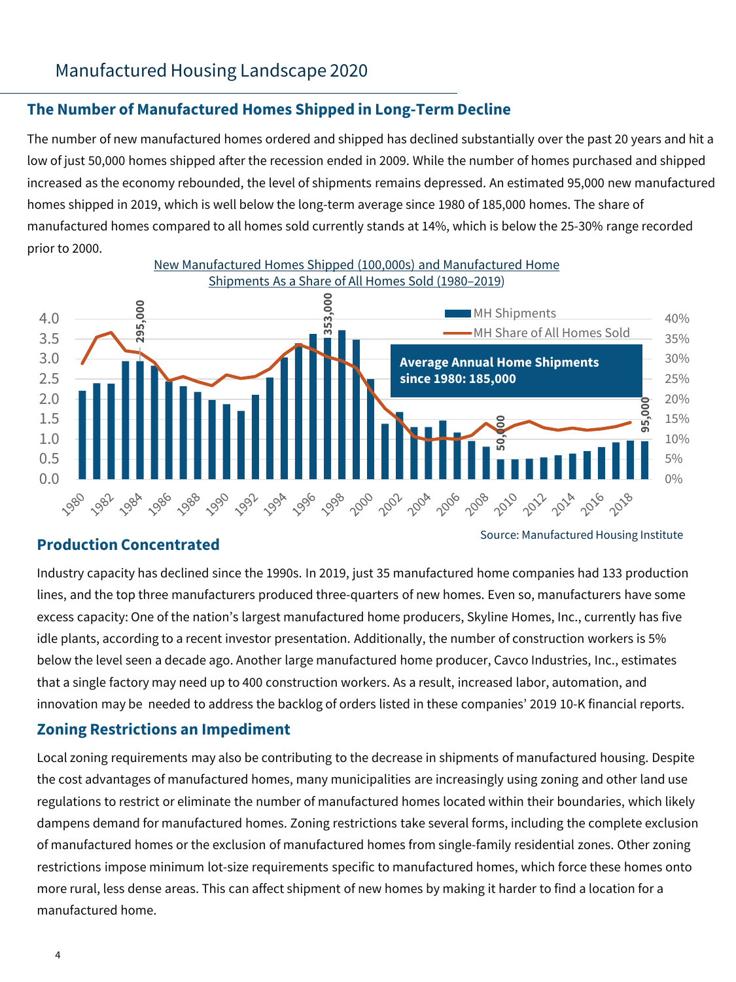# Manufactured Housing Landscape 2020

### **The Number of Manufactured Homes Shipped in Long-Term Decline**

The number of new manufactured homes ordered and shipped has declined substantially over the past 20 years and hit a low of just 50,000 homes shipped after the recession ended in 2009. While the number of homes purchased and shipped increased as the economy rebounded, the level of shipments remains depressed. An estimated 95,000 new manufactured homes shipped in 2019, which is well below the long-term average since 1980 of 185,000 homes. The share of manufactured homes compared to all homes sold currently stands at 14%, which is below the 25-30% range recorded prior to 2000.



### **Production Concentrated**

Source: Manufactured Housing Institute

Industry capacity has declined since the 1990s. In 2019, just 35 manufactured home companies had 133 production lines, and the top three manufacturers produced three-quarters of new homes. Even so, manufacturers have some excess capacity: One of the nation's largest manufactured home producers, Skyline Homes, Inc., currently has five idle plants, according to a recent investor presentation. Additionally, the number of construction workers is 5% below the level seen a decade ago. Another large manufactured home producer, Cavco Industries, Inc., estimates that a single factory may need up to 400 construction workers. As a result, increased labor, automation, and innovation may be needed to address the backlog of orders listed in these companies' 2019 10-K financial reports.

# **Zoning Restrictions an Impediment**

Local zoning requirements may also be contributing to the decrease in shipments of manufactured housing. Despite the cost advantages of manufactured homes, many municipalities are increasingly using zoning and other land use regulations to restrict or eliminate the number of manufactured homes located within their boundaries, which likely dampens demand for manufactured homes. Zoning restrictions take several forms, including the complete exclusion of manufactured homes or the exclusion of manufactured homes from single-family residential zones. Other zoning restrictions impose minimum lot-size requirements specific to manufactured homes, which force these homes onto more rural, less dense areas. This can affect shipment of new homes by making it harder to find a location for a manufactured home.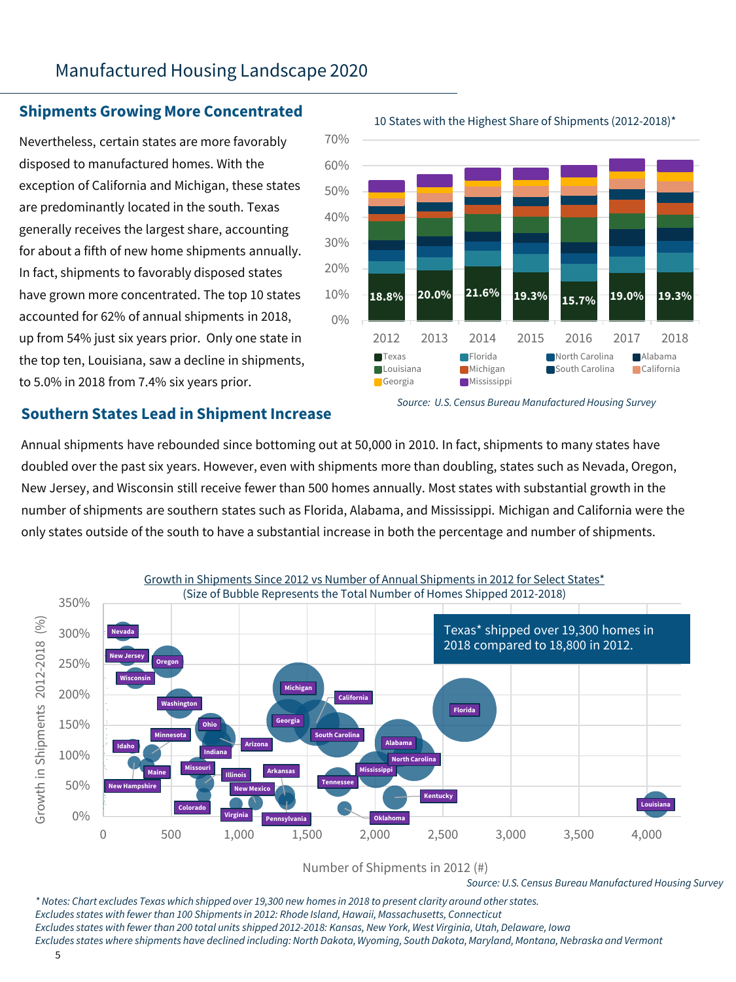# Manufactured Housing Landscape 2020

# **Shipments Growing More Concentrated** 10 States with the Highest Share of Shipments (2012-2018)\*

Nevertheless, certain states are more favorably disposed to manufactured homes. With the exception of California and Michigan, these states are predominantly located in the south. Texas generally receives the largest share, accounting for about a fifth of new home shipments annually. In fact, shipments to favorably disposed states have grown more concentrated. The top 10 states accounted for 62% of annual shipments in 2018, up from 54% just six years prior. Only one state in the top ten, Louisiana, saw a decline in shipments, to 5.0% in 2018 from 7.4% six years prior.



#### *Source: U.S. Census Bureau Manufactured Housing Survey*

#### **Southern States Lead in Shipment Increase**

Annual shipments have rebounded since bottoming out at 50,000 in 2010. In fact, shipments to many states have doubled over the past six years. However, even with shipments more than doubling, states such as Nevada, Oregon, New Jersey, and Wisconsin still receive fewer than 500 homes annually. Most states with substantial growth in the number of shipments are southern states such as Florida, Alabama, and Mississippi. Michigan and California were the only states outside of the south to have a substantial increase in both the percentage and number of shipments.



Number of Shipments in 2012 (#)

*Source: U.S. Census Bureau Manufactured Housing Survey*

*\* Notes: Chart excludes Texas which shipped over 19,300 new homes in 2018 to present clarity around other states. Excludes states with fewer than 100 Shipments in 2012: Rhode Island, Hawaii, Massachusetts, Connecticut Excludes states with fewer than 200 total units shipped 2012-2018: Kansas, New York, West Virginia, Utah, Delaware, Iowa Excludes states where shipments have declined including: North Dakota, Wyoming, South Dakota, Maryland, Montana, Nebraska and Vermont*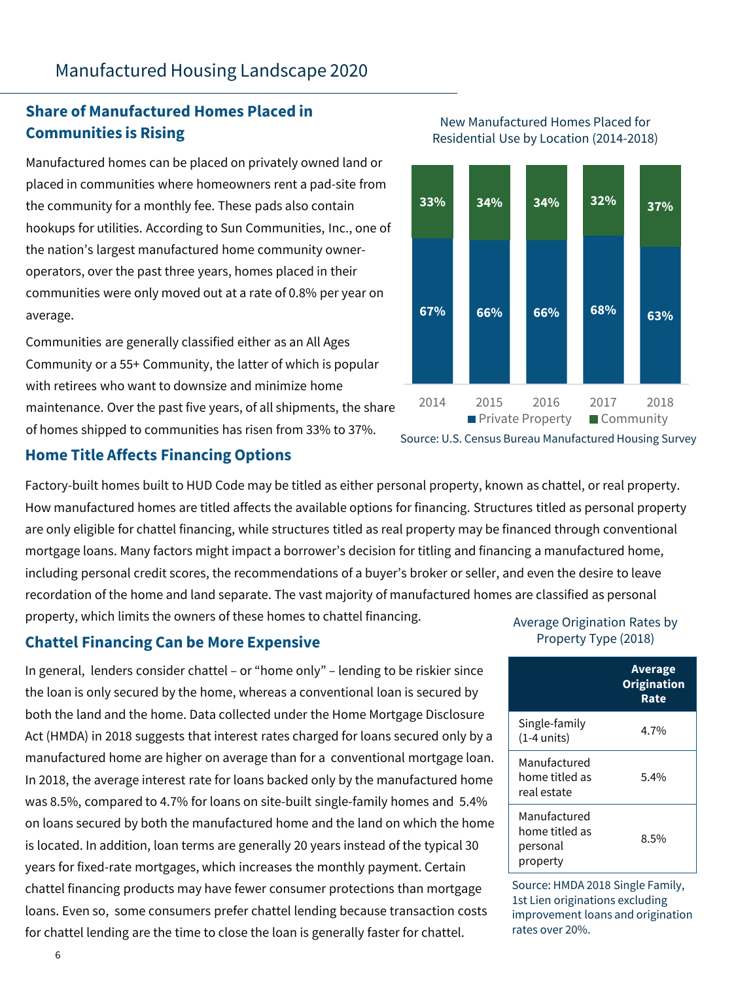# **Share of Manufactured Homes Placed in Communities is Rising**

Manufactured homes can be placed on privately owned land or placed in communities where homeowners rent a pad-site from the community for a monthly fee. These pads also contain hookups for utilities. According to Sun Communities, Inc., one of the nation's largest manufactured home community owneroperators, over the past three years, homes placed in their communities were only moved out at a rate of 0.8% per year on average.

Communities are generally classified either as an All Ages Community or a 55+ Community, the latter of which is popular with retirees who want to downsize and minimize home maintenance. Over the past five years, of all shipments, the share of homes shipped to communities has risen from 33% to 37%.<br>Source: U.S. Census Bureau Manufactured Housing Survey

# **Home Title Affects Financing Options**

Factory-built homes built to HUD Code may be titled as either personal property, known as chattel, or real property. How manufactured homes are titled affects the available options for financing. Structures titled as personal property are only eligible for chattel financing, while structures titled as real property may be financed through conventional mortgage loans. Many factors might impact a borrower's decision for titling and financing a manufactured home, including personal credit scores, the recommendations of a buyer's broker or seller, and even the desire to leave recordation of the home and land separate. The vast majority of manufactured homes are classified as personal property, which limits the owners of these homes to chattel financing.

# **Chattel Financing Can be More Expensive**

In general, lenders consider chattel – or "home only" – lending to be riskier since the loan is only secured by the home, whereas a conventional loan is secured by both the land and the home. Data collected under the Home Mortgage Disclosure Act (HMDA) in 2018 suggests that interest rates charged for loans secured only by a manufactured home are higher on average than for a conventional mortgage loan. In 2018, the average interest rate for loans backed only by the manufactured home was 8.5%, compared to 4.7% for loans on site-built single-family homes and 5.4% on loans secured by both the manufactured home and the land on which the home is located. In addition, loan terms are generally 20 years instead of the typical 30 years for fixed-rate mortgages, which increases the monthly payment. Certain chattel financing products may have fewer consumer protections than mortgage loans. Even so, some consumers prefer chattel lending because transaction costs for chattel lending are the time to close the loan is generally faster for chattel.





#### Average Origination Rates by Property Type (2018)

|                                                        | Average<br><b>Origination</b><br>Rate |  |  |
|--------------------------------------------------------|---------------------------------------|--|--|
| Single-family<br>$(1-4$ units)                         | 4.7%                                  |  |  |
| Manufactured<br>home titled as<br>real estate          | $5.4\%$                               |  |  |
| Manufactured<br>home titled as<br>personal<br>property | 8.5%                                  |  |  |

Source: HMDA 2018 Single Family, 1st Lien originations excluding improvement loans and origination rates over 20%.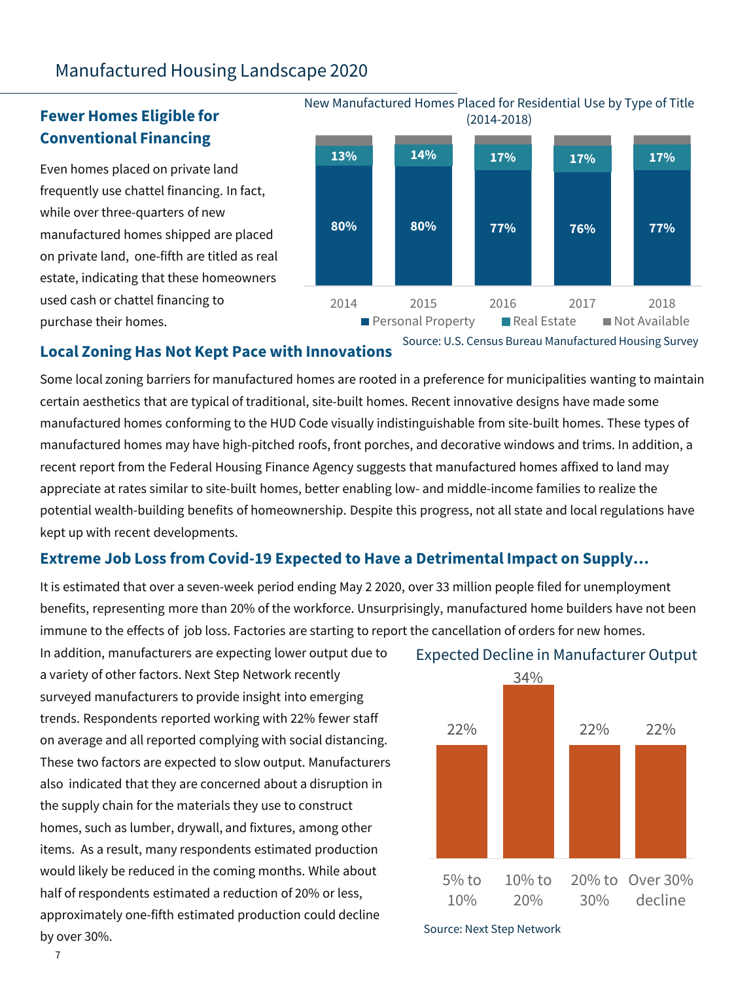# Manufactured Housing Landscape 2020

# **Fewer Homes Eligible for Conventional Financing**

Even homes placed on private land frequently use chattel financing. In fact, while over three-quarters of new manufactured homes shipped are placed on private land, one-fifth are titled as real estate, indicating that these homeowners used cash or chattel financing to purchase their homes.

**80% 80% 77% 76% 77% 13% 14% 17% 17% 17%** 2014 2015 2016 2017 2018 **Personal Property Property Real Estate Property** (2014-2018)

New Manufactured Homes Placed for Residential Use by Type of Title

Source: U.S. Census Bureau Manufactured Housing Survey

#### **Local Zoning Has Not Kept Pace with Innovations**

Some local zoning barriers for manufactured homes are rooted in a preference for municipalities wanting to maintain certain aesthetics that are typical of traditional, site-built homes. Recent innovative designs have made some manufactured homes conforming to the HUD Code visually indistinguishable from site-built homes. These types of manufactured homes may have high-pitched roofs, front porches, and decorative windows and trims. In addition, a recent report from the Federal Housing Finance Agency suggests that manufactured homes affixed to land may appreciate at rates similar to site-built homes, better enabling low- and middle-income families to realize the potential wealth-building benefits of homeownership. Despite this progress, not all state and local regulations have kept up with recent developments.

### **Extreme Job Loss from Covid-19 Expected to Have a Detrimental Impact on Supply…**

It is estimated that over a seven-week period ending May 2 2020, over 33 million people filed for unemployment benefits, representing more than 20% of the workforce. Unsurprisingly, manufactured home builders have not been immune to the effects of job loss. Factories are starting to report the cancellation of orders for new homes.

In addition, manufacturers are expecting lower output due to a variety of other factors. Next Step Network recently surveyed manufacturers to provide insight into emerging trends. Respondents reported working with 22% fewer staff on average and all reported complying with social distancing. These two factors are expected to slow output. Manufacturers also indicated that they are concerned about a disruption in the supply chain for the materials they use to construct homes, such as lumber, drywall, and fixtures, among other items. As a result, many respondents estimated production would likely be reduced in the coming months. While about half of respondents estimated a reduction of 20% or less, approximately one-fifth estimated production could decline by over 30%.





Source: Next Step Network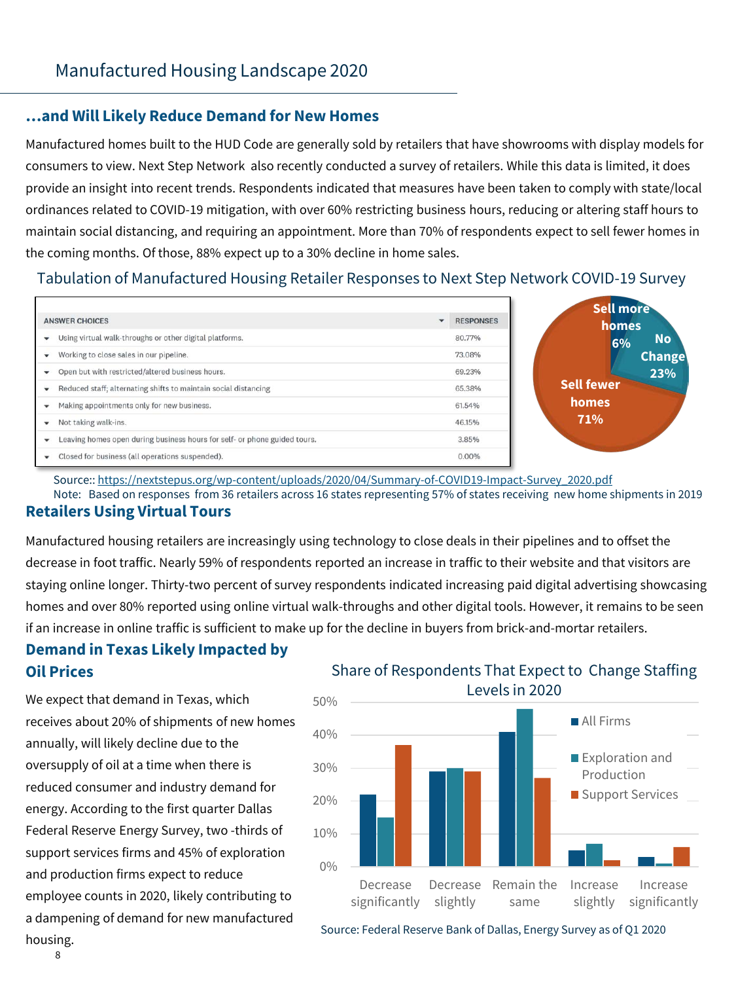### **…and Will Likely Reduce Demand for New Homes**

Manufactured homes built to the HUD Code are generally sold by retailers that have showrooms with display models for consumers to view. Next Step Network also recently conducted a survey of retailers. While this data is limited, it does provide an insight into recent trends. Respondents indicated that measures have been taken to comply with state/local ordinances related to COVID-19 mitigation, with over 60% restricting business hours, reducing or altering staff hours to maintain social distancing, and requiring an appointment. More than 70% of respondents expect to sell fewer homes in the coming months. Of those, 88% expect up to a 30% decline in home sales.

#### Tabulation of Manufactured Housing Retailer Responses to Next Step Network COVID-19 Survey

| <b>ANSWER CHOICES</b>                                                                     | <b>RESPONSES</b> | Sell more<br>homes |
|-------------------------------------------------------------------------------------------|------------------|--------------------|
| Using virtual walk-throughs or other digital platforms.<br>٠                              | 80,77%           | <b>No</b><br>6%    |
| Working to close sales in our pipeline.<br>٠                                              | 73.08%           | <b>Change</b>      |
| Open but with restricted/altered business hours.<br>$\blacktriangledown$                  | 69.23%           | 23%                |
| Reduced staff; alternating shifts to maintain social distancing<br>$\checkmark$           | 65.38%           | <b>Sell fewer</b>  |
| Making appointments only for new business.<br>$\checkmark$                                | 61.54%           | homes              |
| Not taking walk-ins.<br>$\checkmark$                                                      | 46.15%           | 71%                |
| Leaving homes open during business hours for self- or phone guided tours.<br>$\checkmark$ | 3.85%            |                    |
| Closed for business (all operations suspended).<br>٠                                      | $0.00\%$         |                    |

Source:: [https://nextstepus.org/wp-content/uploads/2020/04/Summary-of-COVID19-Impact-Survey\\_2020.pdf](https://nextstepus.org/wp-content/uploads/2020/04/Summary-of-COVID19-Impact-Survey_2020.pdf) Note: Based on responses from 36 retailers across 16 states representing 57% of states receiving new home shipments in 2019

#### **Retailers Using Virtual Tours**

Manufactured housing retailers are increasingly using technology to close deals in their pipelines and to offset the decrease in foot traffic. Nearly 59% of respondents reported an increase in traffic to their website and that visitors are staying online longer. Thirty-two percent of survey respondents indicated increasing paid digital advertising showcasing homes and over 80% reported using online virtual walk-throughs and other digital tools. However, it remains to be seen if an increase in online traffic is sufficient to make up for the decline in buyers from brick-and-mortar retailers.

# **Demand in Texas Likely Impacted by Oil Prices**

We expect that demand in Texas, which receives about 20% of shipments of new homes annually, will likely decline due to the oversupply of oil at a time when there is reduced consumer and industry demand for energy. According to the first quarter Dallas Federal Reserve Energy Survey, two -thirds of support services firms and 45% of exploration and production firms expect to reduce employee counts in 2020, likely contributing to a dampening of demand for new manufactured housing.

Share of Respondents That Expect to Change Staffing Levels in 2020



Source: Federal Reserve Bank of Dallas, Energy Survey as of Q1 2020